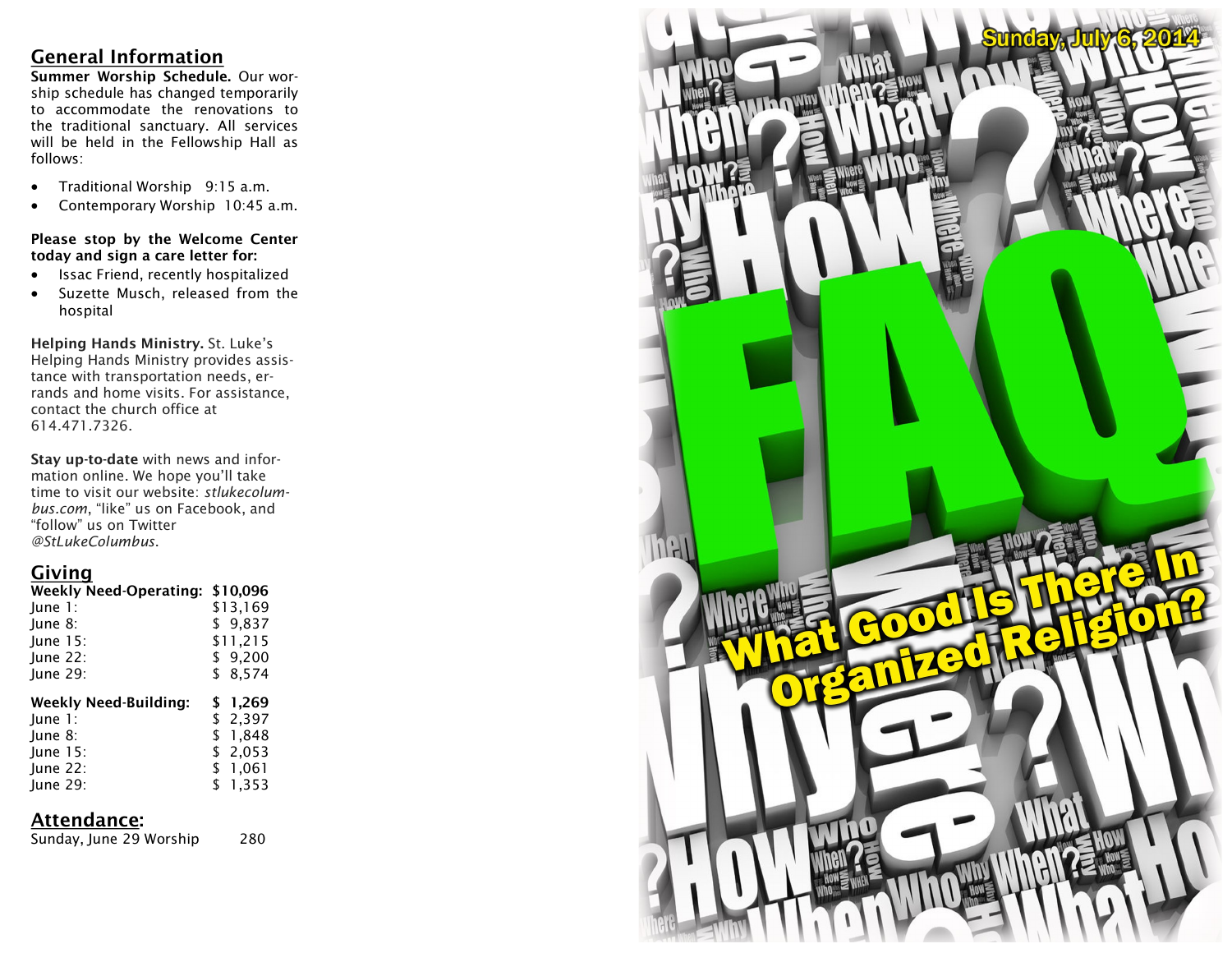## **General Information**

**Summer Worship Schedule.** Our worship schedule has changed temporarily to accommodate the renovations to the traditional sanctuary. All services will be held in the Fellowship Hall as follows:

- Traditional Worship 9:15 a.m.
- Contemporary Worship 10:45 a.m.

#### **Please stop by the Welcome Center today and sign a care letter for:**

- Issac Friend, recently hospitalized
- Suzette Musch, released from the hospital

**Helping Hands Ministry.** St. Luke's Helping Hands Ministry provides assistance with transportation needs, errands and home visits. For assistance, contact the church office at 614.471.7326.

**Stay up-to-date** with news and information online. We hope you'll take time to visit our website: *stlukecolumbus.com*, "like" us on Facebook, and "follow" us on Twitter *@StLukeColumbus*.

# **Giving**

| <b>Weekly Need-Operating:</b> | \$10,096             |
|-------------------------------|----------------------|
| June 1:                       | \$13,169             |
| June 8:                       | \$9.837              |
| June 15:                      | \$11,215             |
| June 22:                      | \$9,200              |
| June 29:                      | \$8,574              |
|                               |                      |
|                               |                      |
| <b>Weekly Need-Building:</b>  | \$ 1,269             |
| June 1:<br>June 8:            | \$ 2,397<br>\$ 1,848 |
| June 15:                      | \$2,053              |
| June 22:                      | \$1,061              |
| June 29:                      | \$1,353              |

## **Attendance:**

Sunday, June 29 Worship 280